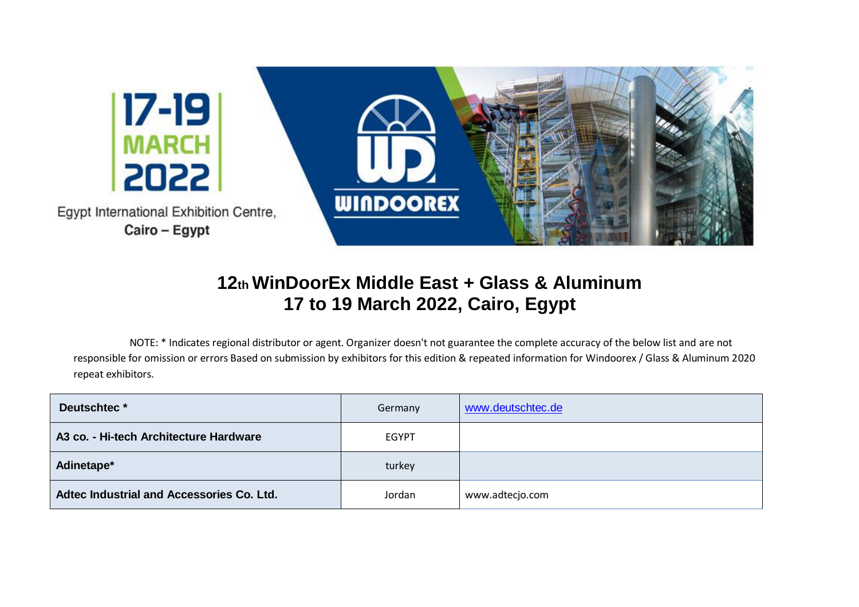

Egypt International Exhibition Centre, Cairo - Egypt



## **12th WinDoorEx Middle East + Glass & Aluminum 17 to 19 March 2022, Cairo, Egypt**

 NOTE: \* Indicates regional distributor or agent. Organizer doesn't not guarantee the complete accuracy of the below list and are not responsible for omission or errors Based on submission by exhibitors for this edition & repeated information for Windoorex / Glass & Aluminum 2020 repeat exhibitors.

| Deutschtec*                               | Germany      | www.deutschtec.de |
|-------------------------------------------|--------------|-------------------|
| A3 co. - Hi-tech Architecture Hardware    | <b>EGYPT</b> |                   |
| Adinetape*                                | turkey       |                   |
| Adtec Industrial and Accessories Co. Ltd. | Jordan       | www.adtecjo.com   |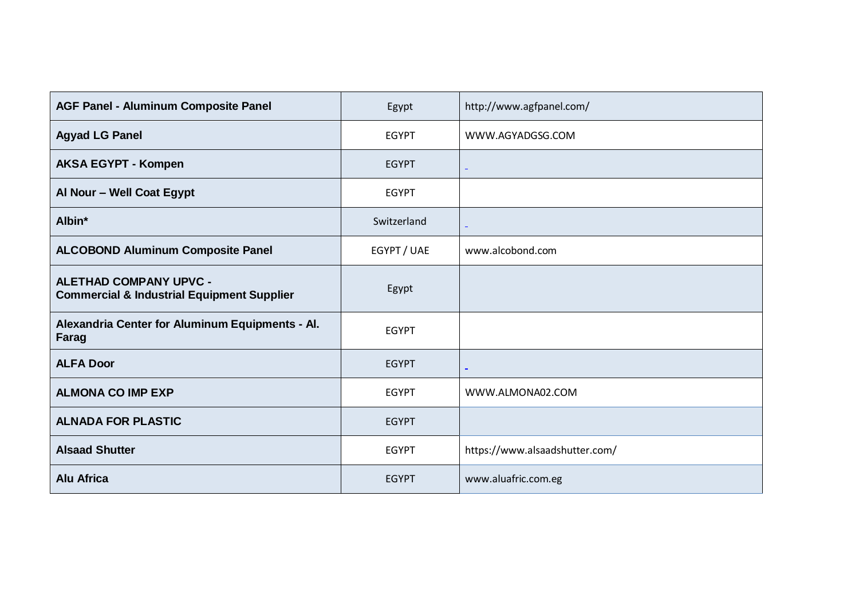| <b>AGF Panel - Aluminum Composite Panel</b>                                            | Egypt        | http://www.agfpanel.com/       |
|----------------------------------------------------------------------------------------|--------------|--------------------------------|
| <b>Agyad LG Panel</b>                                                                  | <b>EGYPT</b> | WWW.AGYADGSG.COM               |
| <b>AKSA EGYPT - Kompen</b>                                                             | <b>EGYPT</b> | $\blacksquare$                 |
| Al Nour - Well Coat Egypt                                                              | <b>EGYPT</b> |                                |
| Albin*                                                                                 | Switzerland  | $\equiv$                       |
| <b>ALCOBOND Aluminum Composite Panel</b>                                               | EGYPT / UAE  | www.alcobond.com               |
| <b>ALETHAD COMPANY UPVC -</b><br><b>Commercial &amp; Industrial Equipment Supplier</b> | Egypt        |                                |
| Alexandria Center for Aluminum Equipments - Al.<br>Farag                               | <b>EGYPT</b> |                                |
| <b>ALFA Door</b>                                                                       | <b>EGYPT</b> | $\equiv$                       |
| <b>ALMONA CO IMP EXP</b>                                                               | <b>EGYPT</b> | WWW.ALMONA02.COM               |
| <b>ALNADA FOR PLASTIC</b>                                                              | <b>EGYPT</b> |                                |
| <b>Alsaad Shutter</b>                                                                  | <b>EGYPT</b> | https://www.alsaadshutter.com/ |
| <b>Alu Africa</b>                                                                      | <b>EGYPT</b> | www.aluafric.com.eg            |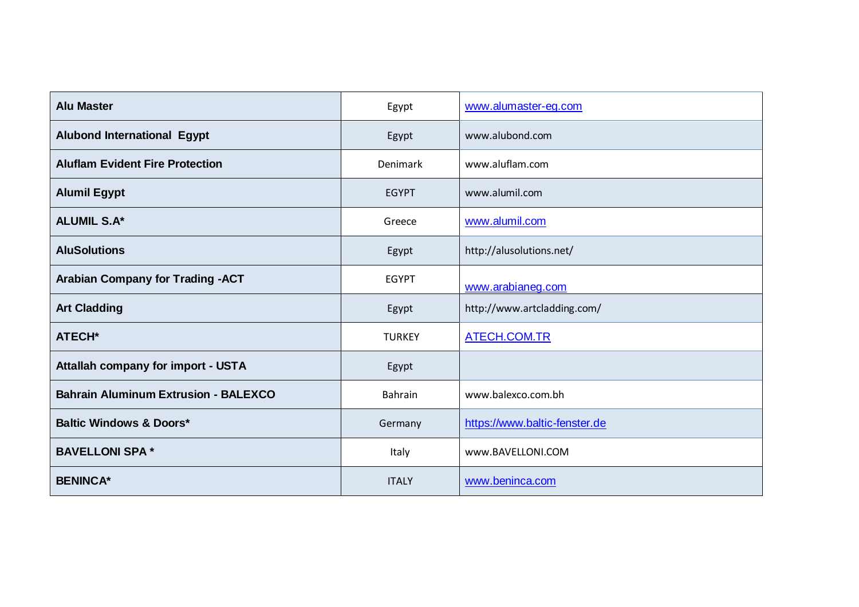| <b>Alu Master</b>                           | Egypt         | www.alumaster-eg.com          |
|---------------------------------------------|---------------|-------------------------------|
| <b>Alubond International Egypt</b>          | Egypt         | www.alubond.com               |
| <b>Aluflam Evident Fire Protection</b>      | Denimark      | www.aluflam.com               |
| <b>Alumil Egypt</b>                         | <b>EGYPT</b>  | www.alumil.com                |
| <b>ALUMIL S.A*</b>                          | Greece        | www.alumil.com                |
| <b>AluSolutions</b>                         | Egypt         | http://alusolutions.net/      |
| <b>Arabian Company for Trading -ACT</b>     | <b>EGYPT</b>  | www.arabianeg.com             |
| <b>Art Cladding</b>                         | Egypt         | http://www.artcladding.com/   |
| <b>ATECH*</b>                               | <b>TURKEY</b> | ATECH.COM.TR                  |
| Attallah company for import - USTA          | Egypt         |                               |
| <b>Bahrain Aluminum Extrusion - BALEXCO</b> | Bahrain       | www.balexco.com.bh            |
| <b>Baltic Windows &amp; Doors*</b>          | Germany       | https://www.baltic-fenster.de |
| <b>BAVELLONI SPA *</b>                      | Italy         | www.BAVELLONI.COM             |
| <b>BENINCA*</b>                             | <b>ITALY</b>  | www.beninca.com               |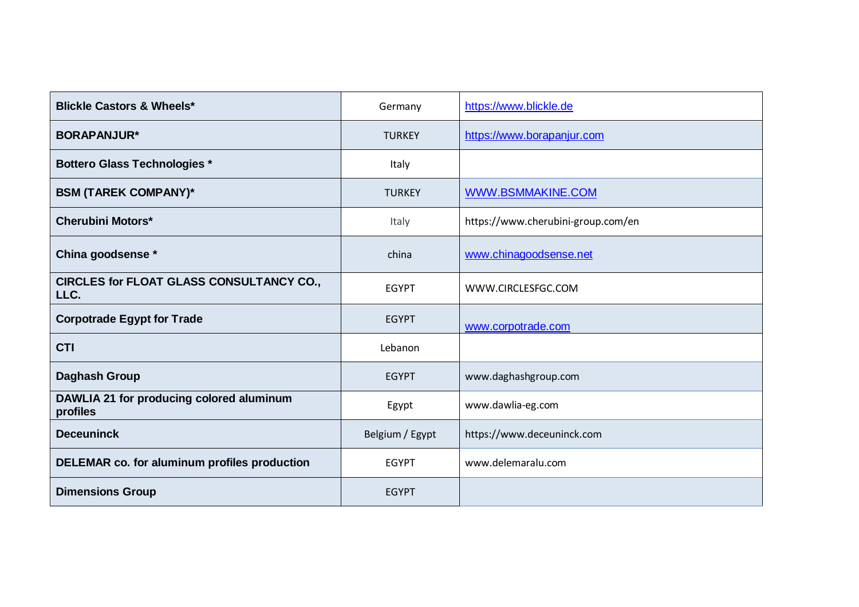| <b>Blickle Castors &amp; Wheels*</b>                 | Germany         | https://www.blickle.de             |
|------------------------------------------------------|-----------------|------------------------------------|
| <b>BORAPANJUR*</b>                                   | <b>TURKEY</b>   | https://www.borapanjur.com         |
| <b>Bottero Glass Technologies *</b>                  | Italy           |                                    |
| <b>BSM (TAREK COMPANY)*</b>                          | <b>TURKEY</b>   | WWW.BSMMAKINE.COM                  |
| <b>Cherubini Motors*</b>                             | Italy           | https://www.cherubini-group.com/en |
| China goodsense *                                    | china           | www.chinagoodsense.net             |
| CIRCLES for FLOAT GLASS CONSULTANCY CO.,<br>LLC.     | <b>EGYPT</b>    | WWW.CIRCLESFGC.COM                 |
| <b>Corpotrade Egypt for Trade</b>                    | <b>EGYPT</b>    | www.corpotrade.com                 |
| <b>CTI</b>                                           | Lebanon         |                                    |
| <b>Daghash Group</b>                                 | <b>EGYPT</b>    | www.daghashgroup.com               |
| DAWLIA 21 for producing colored aluminum<br>profiles | Egypt           | www.dawlia-eg.com                  |
| <b>Deceuninck</b>                                    | Belgium / Egypt | https://www.deceuninck.com         |
| DELEMAR co. for aluminum profiles production         | <b>EGYPT</b>    | www.delemaralu.com                 |
| <b>Dimensions Group</b>                              | <b>EGYPT</b>    |                                    |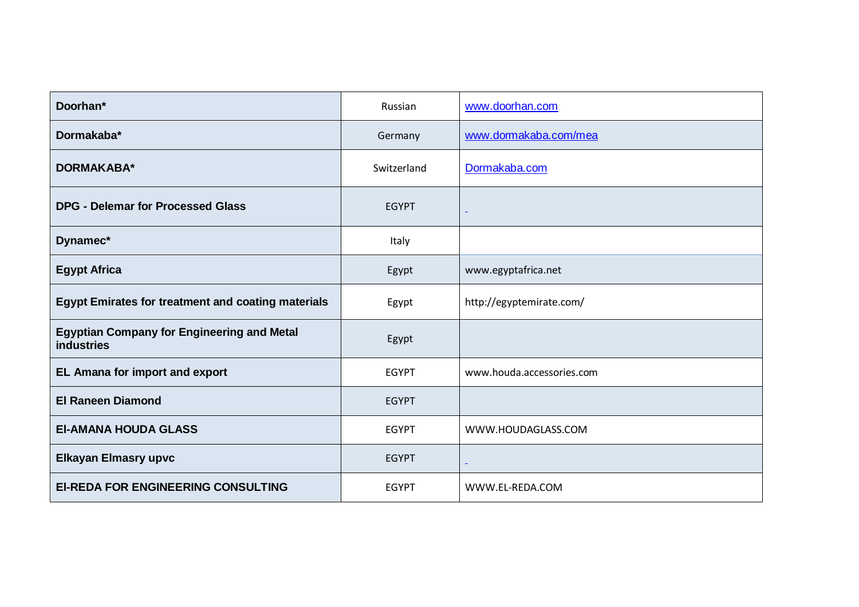| Doorhan*                                                               | Russian      | www.doorhan.com           |
|------------------------------------------------------------------------|--------------|---------------------------|
| Dormakaba*                                                             | Germany      | www.dormakaba.com/mea     |
| DORMAKABA*                                                             | Switzerland  | Dormakaba.com             |
| <b>DPG - Delemar for Processed Glass</b>                               | <b>EGYPT</b> |                           |
| Dynamec*                                                               | Italy        |                           |
| <b>Egypt Africa</b>                                                    | Egypt        | www.egyptafrica.net       |
| <b>Egypt Emirates for treatment and coating materials</b>              | Egypt        | http://egyptemirate.com/  |
| <b>Egyptian Company for Engineering and Metal</b><br><b>industries</b> | Egypt        |                           |
| <b>EL Amana for import and export</b>                                  | <b>EGYPT</b> | www.houda.accessories.com |
| <b>El Raneen Diamond</b>                                               | <b>EGYPT</b> |                           |
| <b>EI-AMANA HOUDA GLASS</b>                                            | <b>EGYPT</b> | WWW.HOUDAGLASS.COM        |
| <b>Elkayan Elmasry upvc</b>                                            | <b>EGYPT</b> | $\blacksquare$            |
| <b>EI-REDA FOR ENGINEERING CONSULTING</b>                              | <b>EGYPT</b> | WWW.EL-REDA.COM           |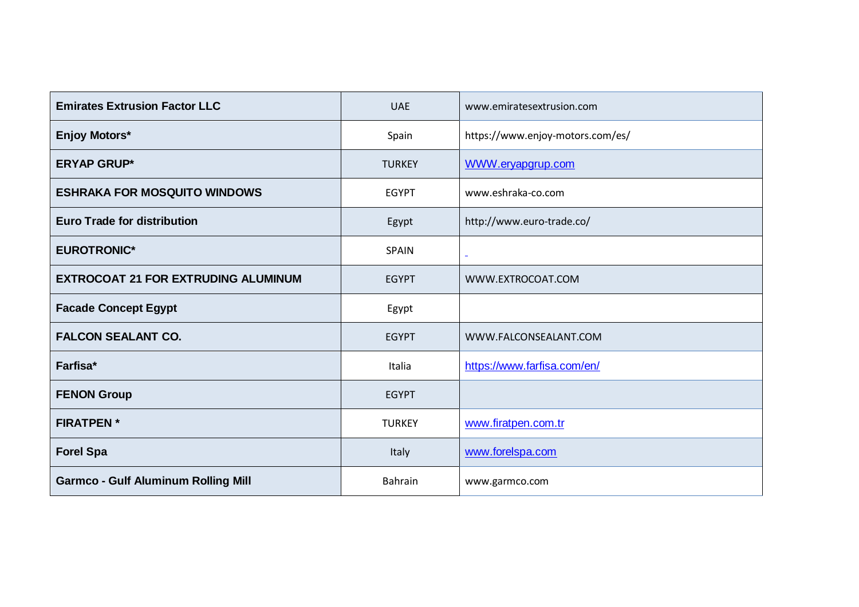| <b>Emirates Extrusion Factor LLC</b>       | <b>UAE</b>     | www.emiratesextrusion.com        |
|--------------------------------------------|----------------|----------------------------------|
| <b>Enjoy Motors*</b>                       | Spain          | https://www.enjoy-motors.com/es/ |
| <b>ERYAP GRUP*</b>                         | <b>TURKEY</b>  | WWW.eryapgrup.com                |
| <b>ESHRAKA FOR MOSQUITO WINDOWS</b>        | <b>EGYPT</b>   | www.eshraka-co.com               |
| <b>Euro Trade for distribution</b>         | Egypt          | http://www.euro-trade.co/        |
| <b>EUROTRONIC*</b>                         | <b>SPAIN</b>   | $\blacksquare$                   |
| <b>EXTROCOAT 21 FOR EXTRUDING ALUMINUM</b> | <b>EGYPT</b>   | WWW.EXTROCOAT.COM                |
| <b>Facade Concept Egypt</b>                | Egypt          |                                  |
| <b>FALCON SEALANT CO.</b>                  | <b>EGYPT</b>   | WWW.FALCONSEALANT.COM            |
| Farfisa*                                   | Italia         | https://www.farfisa.com/en/      |
| <b>FENON Group</b>                         | <b>EGYPT</b>   |                                  |
| <b>FIRATPEN*</b>                           | <b>TURKEY</b>  | www.firatpen.com.tr              |
| <b>Forel Spa</b>                           | Italy          | www.forelspa.com                 |
| <b>Garmco - Gulf Aluminum Rolling Mill</b> | <b>Bahrain</b> | www.garmco.com                   |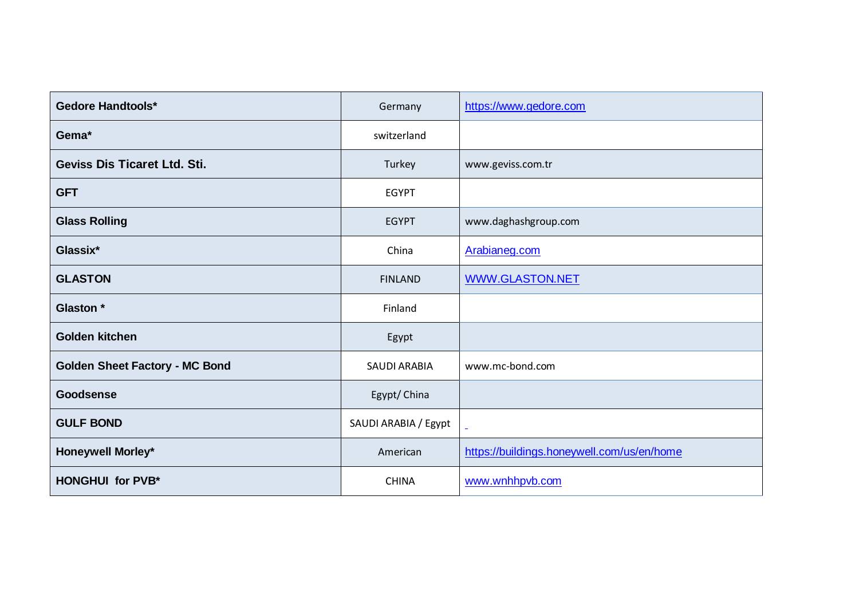| <b>Gedore Handtools*</b>              | Germany              | https://www.gedore.com                     |
|---------------------------------------|----------------------|--------------------------------------------|
| Gema*                                 | switzerland          |                                            |
| <b>Geviss Dis Ticaret Ltd. Sti.</b>   | Turkey               | www.geviss.com.tr                          |
| <b>GFT</b>                            | <b>EGYPT</b>         |                                            |
| <b>Glass Rolling</b>                  | <b>EGYPT</b>         | www.daghashgroup.com                       |
| Glassix*                              | China                | Arabianeg.com                              |
| <b>GLASTON</b>                        | <b>FINLAND</b>       | WWW.GLASTON.NET                            |
| Glaston *                             | Finland              |                                            |
| <b>Golden kitchen</b>                 | Egypt                |                                            |
| <b>Golden Sheet Factory - MC Bond</b> | <b>SAUDI ARABIA</b>  | www.mc-bond.com                            |
| Goodsense                             | Egypt/ China         |                                            |
| <b>GULF BOND</b>                      | SAUDI ARABIA / Egypt |                                            |
| <b>Honeywell Morley*</b>              | American             | https://buildings.honeywell.com/us/en/home |
| HONGHUI for PVB*                      | <b>CHINA</b>         | www.wnhhpvb.com                            |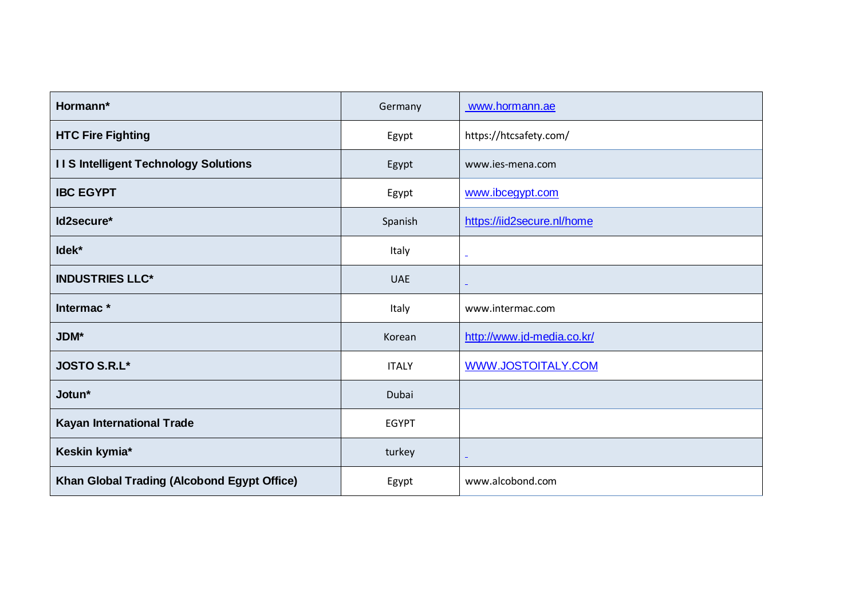| Hormann*                                    | Germany      | www.hormann.ae             |
|---------------------------------------------|--------------|----------------------------|
| <b>HTC Fire Fighting</b>                    | Egypt        | https://htcsafety.com/     |
| <b>IIS Intelligent Technology Solutions</b> | Egypt        | www.ies-mena.com           |
| <b>IBC EGYPT</b>                            | Egypt        | www.ibcegypt.com           |
| Id2secure*                                  | Spanish      | https://iid2secure.nl/home |
| Idek*                                       | Italy        | $\equiv$                   |
| <b>INDUSTRIES LLC*</b>                      | <b>UAE</b>   | $\overline{\phantom{a}}$   |
| Intermac*                                   | Italy        | www.intermac.com           |
| JDM*                                        | Korean       | http://www.jd-media.co.kr/ |
| <b>JOSTO S.R.L*</b>                         | <b>ITALY</b> | WWW.JOSTOITALY.COM         |
| Jotun*                                      | Dubai        |                            |
| <b>Kayan International Trade</b>            | <b>EGYPT</b> |                            |
| Keskin kymia*                               | turkey       | $\blacksquare$             |
| Khan Global Trading (Alcobond Egypt Office) | Egypt        | www.alcobond.com           |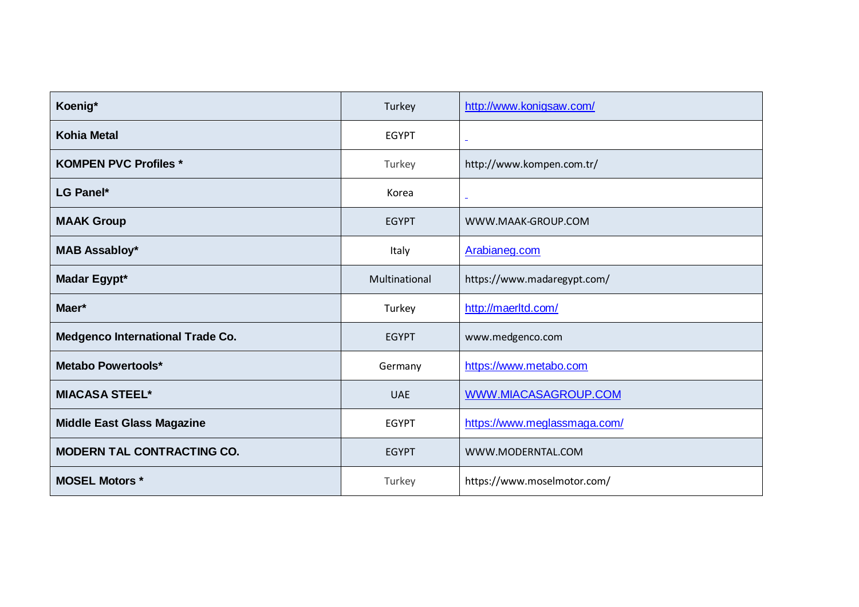| Koenig*                                 | Turkey        | http://www.konigsaw.com/     |
|-----------------------------------------|---------------|------------------------------|
| <b>Kohia Metal</b>                      | <b>EGYPT</b>  | $\blacksquare$               |
| <b>KOMPEN PVC Profiles *</b>            | Turkey        | http://www.kompen.com.tr/    |
| <b>LG Panel*</b>                        | Korea         | $\blacksquare$               |
| <b>MAAK Group</b>                       | <b>EGYPT</b>  | WWW.MAAK-GROUP.COM           |
| <b>MAB Assabloy*</b>                    | Italy         | Arabianeg.com                |
| Madar Egypt*                            | Multinational | https://www.madaregypt.com/  |
| Maer*                                   | Turkey        | http://maerltd.com/          |
| <b>Medgenco International Trade Co.</b> | <b>EGYPT</b>  | www.medgenco.com             |
| <b>Metabo Powertools*</b>               | Germany       | https://www.metabo.com       |
| <b>MIACASA STEEL*</b>                   | <b>UAE</b>    | WWW.MIACASAGROUP.COM         |
| <b>Middle East Glass Magazine</b>       | <b>EGYPT</b>  | https://www.meglassmaga.com/ |
| <b>MODERN TAL CONTRACTING CO.</b>       | <b>EGYPT</b>  | WWW.MODERNTAL.COM            |
| <b>MOSEL Motors *</b>                   | Turkey        | https://www.moselmotor.com/  |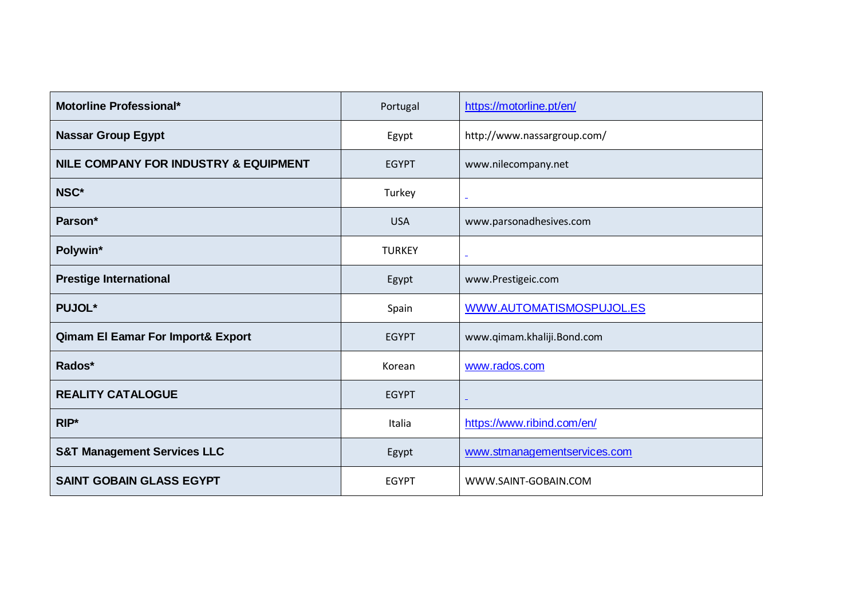| Motorline Professional*                      | Portugal      | https://motorline.pt/en/     |
|----------------------------------------------|---------------|------------------------------|
| <b>Nassar Group Egypt</b>                    | Egypt         | http://www.nassargroup.com/  |
| NILE COMPANY FOR INDUSTRY & EQUIPMENT        | <b>EGYPT</b>  | www.nilecompany.net          |
| NSC*                                         | Turkey        | $\equiv$                     |
| Parson*                                      | <b>USA</b>    | www.parsonadhesives.com      |
| Polywin*                                     | <b>TURKEY</b> | $\blacksquare$               |
| <b>Prestige International</b>                | Egypt         | www.Prestigeic.com           |
| PUJOL*                                       | Spain         | WWW.AUTOMATISMOSPUJOL.ES     |
| <b>Qimam El Eamar For Import&amp; Export</b> | <b>EGYPT</b>  | www.qimam.khaliji.Bond.com   |
| Rados*                                       | Korean        | www.rados.com                |
| <b>REALITY CATALOGUE</b>                     | <b>EGYPT</b>  |                              |
| $RIP*$                                       | Italia        | https://www.ribind.com/en/   |
| <b>S&amp;T Management Services LLC</b>       | Egypt         | www.stmanagementservices.com |
| <b>SAINT GOBAIN GLASS EGYPT</b>              | <b>EGYPT</b>  | WWW.SAINT-GOBAIN.COM         |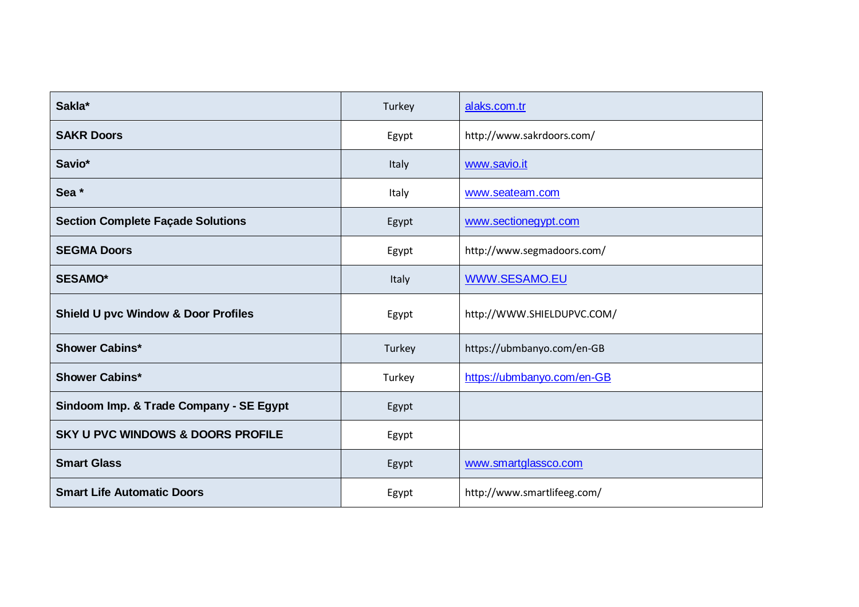| Sakla*                                         | Turkey | alaks.com.tr                |
|------------------------------------------------|--------|-----------------------------|
| <b>SAKR Doors</b>                              | Egypt  | http://www.sakrdoors.com/   |
| Savio*                                         | Italy  | www.savio.it                |
| Sea <sup>*</sup>                               | Italy  | www.seateam.com             |
| <b>Section Complete Façade Solutions</b>       | Egypt  | www.sectionegypt.com        |
| <b>SEGMA Doors</b>                             | Egypt  | http://www.segmadoors.com/  |
| <b>SESAMO*</b>                                 | Italy  | <b>WWW.SESAMO.EU</b>        |
| <b>Shield U pvc Window &amp; Door Profiles</b> | Egypt  | http://WWW.SHIELDUPVC.COM/  |
| <b>Shower Cabins*</b>                          | Turkey | https://ubmbanyo.com/en-GB  |
| <b>Shower Cabins*</b>                          | Turkey | https://ubmbanyo.com/en-GB  |
| Sindoom Imp. & Trade Company - SE Egypt        | Egypt  |                             |
| <b>SKY U PVC WINDOWS &amp; DOORS PROFILE</b>   | Egypt  |                             |
| <b>Smart Glass</b>                             | Egypt  | www.smartglassco.com        |
| <b>Smart Life Automatic Doors</b>              | Egypt  | http://www.smartlifeeg.com/ |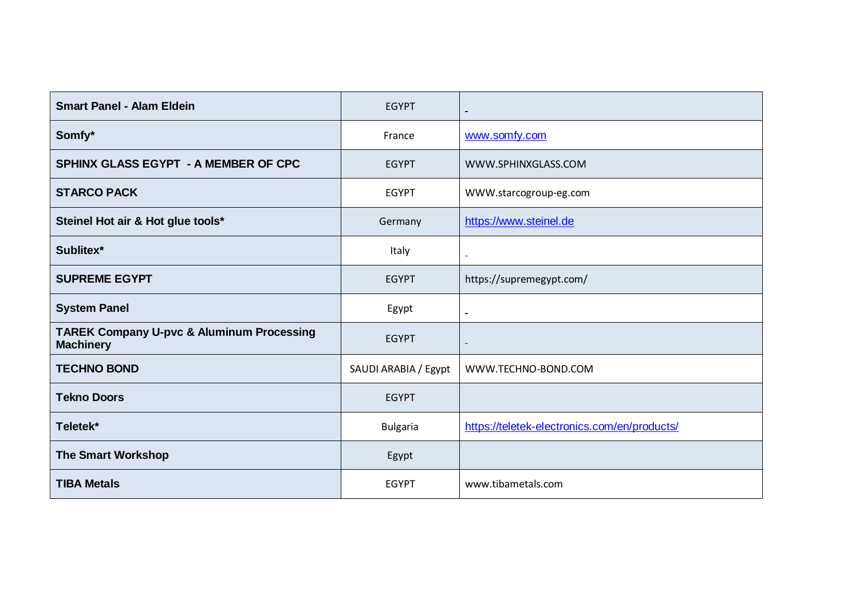| <b>Smart Panel - Alam Eldein</b>                                         | <b>EGYPT</b>         | $\equiv$                                     |
|--------------------------------------------------------------------------|----------------------|----------------------------------------------|
| Somfy*                                                                   | France               | www.somfy.com                                |
| SPHINX GLASS EGYPT - A MEMBER OF CPC                                     | <b>EGYPT</b>         | WWW.SPHINXGLASS.COM                          |
| <b>STARCO PACK</b>                                                       | <b>EGYPT</b>         | WWW.starcogroup-eg.com                       |
| Steinel Hot air & Hot glue tools*                                        | Germany              | https://www.steinel.de                       |
| Sublitex*                                                                | Italy                | $\blacksquare$                               |
| <b>SUPREME EGYPT</b>                                                     | <b>EGYPT</b>         | https://supremegypt.com/                     |
| <b>System Panel</b>                                                      | Egypt                | $\sim$                                       |
| <b>TAREK Company U-pvc &amp; Aluminum Processing</b><br><b>Machinery</b> | <b>EGYPT</b>         | $\blacksquare$                               |
| <b>TECHNO BOND</b>                                                       | SAUDI ARABIA / Egypt | WWW.TECHNO-BOND.COM                          |
| <b>Tekno Doors</b>                                                       | <b>EGYPT</b>         |                                              |
| Teletek*                                                                 | <b>Bulgaria</b>      | https://teletek-electronics.com/en/products/ |
| <b>The Smart Workshop</b>                                                | Egypt                |                                              |
| <b>TIBA Metals</b>                                                       | <b>EGYPT</b>         | www.tibametals.com                           |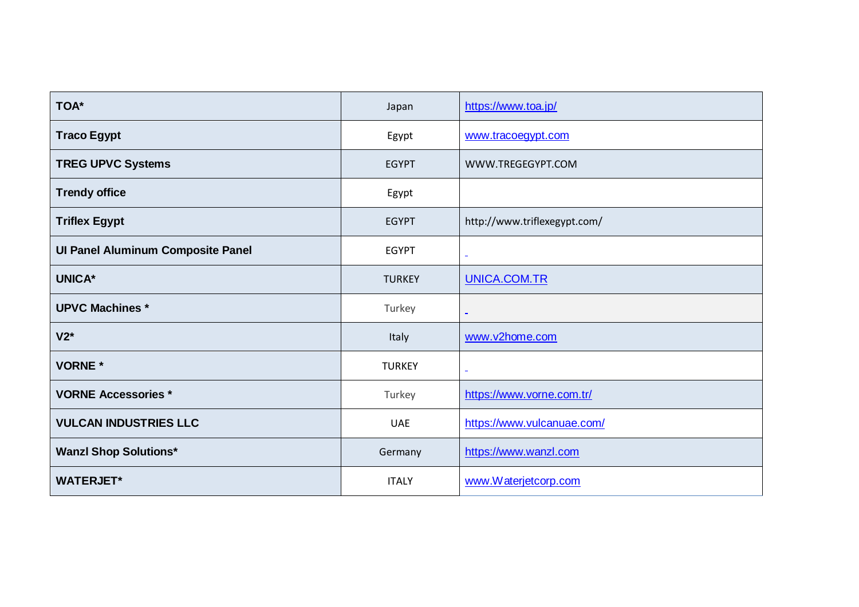| TOA*                                     | Japan         | https://www.toa.jp/          |
|------------------------------------------|---------------|------------------------------|
| <b>Traco Egypt</b>                       | Egypt         | www.tracoegypt.com           |
| <b>TREG UPVC Systems</b>                 | <b>EGYPT</b>  | WWW.TREGEGYPT.COM            |
| <b>Trendy office</b>                     | Egypt         |                              |
| <b>Triflex Egypt</b>                     | <b>EGYPT</b>  | http://www.triflexegypt.com/ |
| <b>UI Panel Aluminum Composite Panel</b> | <b>EGYPT</b>  | $\equiv$                     |
| <b>UNICA*</b>                            | <b>TURKEY</b> | <b>UNICA.COM.TR</b>          |
| <b>UPVC Machines *</b>                   | Turkey        | $\equiv$                     |
| $V2^*$                                   | Italy         | www.v2home.com               |
| <b>VORNE</b> *                           | <b>TURKEY</b> | $\blacksquare$               |
| <b>VORNE Accessories *</b>               | Turkey        | https://www.vorne.com.tr/    |
| <b>VULCAN INDUSTRIES LLC</b>             | <b>UAE</b>    | https://www.vulcanuae.com/   |
| <b>Wanzl Shop Solutions*</b>             | Germany       | https://www.wanzl.com        |
| <b>WATERJET*</b>                         | <b>ITALY</b>  | www.Waterjetcorp.com         |